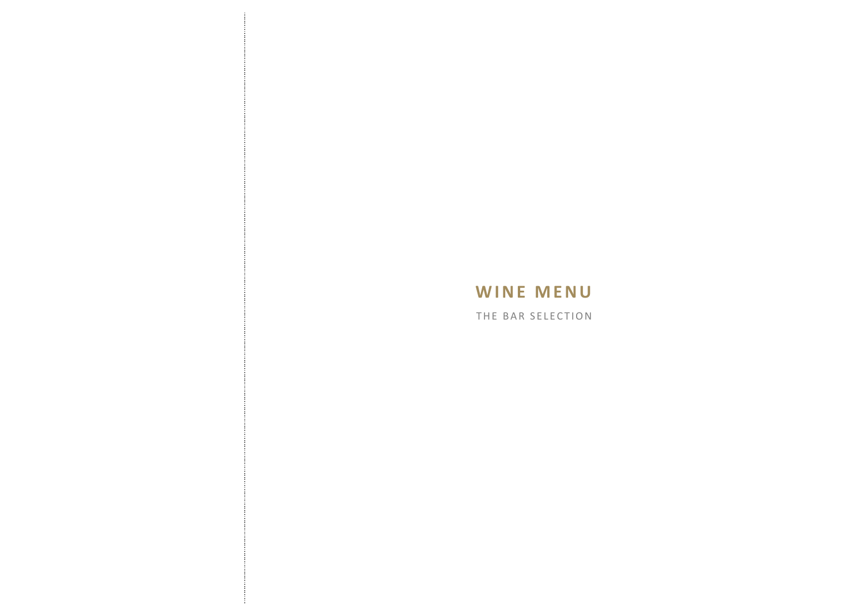Î

÷

THE BAR SELECTION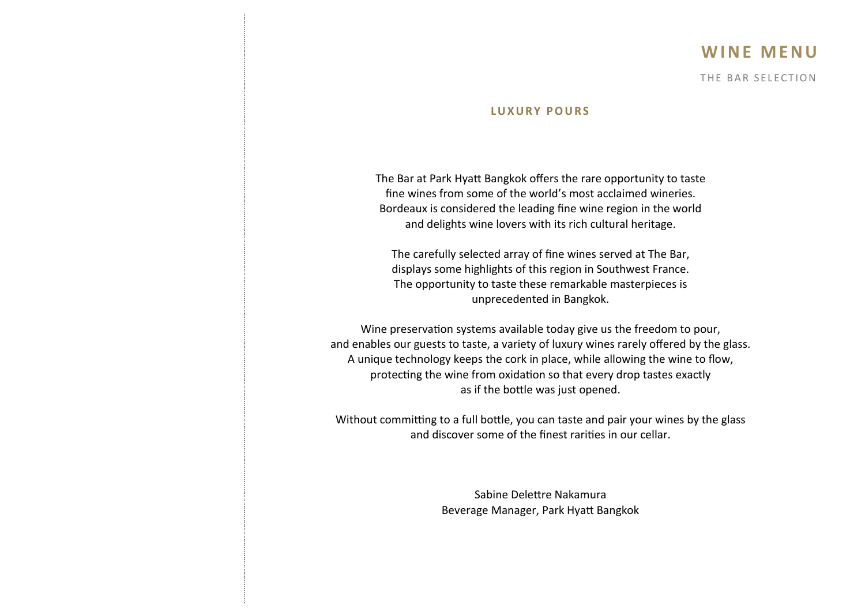### **W I N E M E N U**

THE BAR SELECTION

#### **L U X U R Y P O U R S**

The Bar at Park Hyatt Bangkok offers the rare opportunity to taste fine wines from some of the world's most acclaimed wineries. Bordeaux is considered the leading fine wine region in the world and delights wine lovers with its rich cultural heritage.

The carefully selected array of fine wines served at The Bar, displays some highlights of this region in Southwest France. The opportunity to taste these remarkable masterpieces is unprecedented in Bangkok.

Wine preservation systems available today give us the freedom to pour, and enables our guests to taste, a variety of luxury wines rarely offered by the glass. A unique technology keeps the cork in place, while allowing the wine to flow, protecting the wine from oxidation so that every drop tastes exactly as if the bottle was just opened.

Without committing to a full bottle, you can taste and pair your wines by the glass and discover some of the finest rarities in our cellar.

> Sabine Delettre Nakamura Beverage Manager, Park Hyatt Bangkok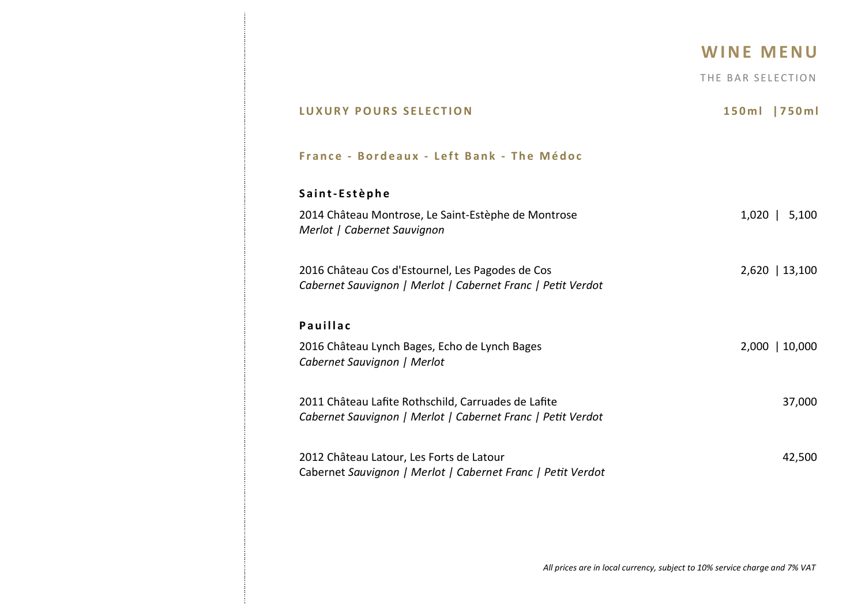|                                                                                                                    | <b>WINE MENU</b>  |
|--------------------------------------------------------------------------------------------------------------------|-------------------|
|                                                                                                                    | THE BAR SELECTION |
| <b>LUXURY POURS SELECTION</b>                                                                                      | 150ml   750ml     |
| France - Bordeaux - Left Bank - The Médoc                                                                          |                   |
| Saint-Estèphe                                                                                                      |                   |
| 2014 Château Montrose, Le Saint-Estèphe de Montrose<br>Merlot   Cabernet Sauvignon                                 | $1,020$   5,100   |
| 2016 Château Cos d'Estournel, Les Pagodes de Cos<br>Cabernet Sauvignon   Merlot   Cabernet Franc   Petit Verdot    | $2,620$   13,100  |
| <b>Pauillac</b>                                                                                                    |                   |
| 2016 Château Lynch Bages, Echo de Lynch Bages<br>Cabernet Sauvignon   Merlot                                       | 2,000   10,000    |
| 2011 Château Lafite Rothschild, Carruades de Lafite<br>Cabernet Sauvignon   Merlot   Cabernet Franc   Petit Verdot | 37,000            |
| 2012 Château Latour, Les Forts de Latour<br>Cabernet Sauvignon   Merlot   Cabernet Franc   Petit Verdot            | 42,500            |
|                                                                                                                    |                   |

 $\frac{1}{2}$ 

÷

*All prices are in local currency, subject to 10% service charge and 7% VAT*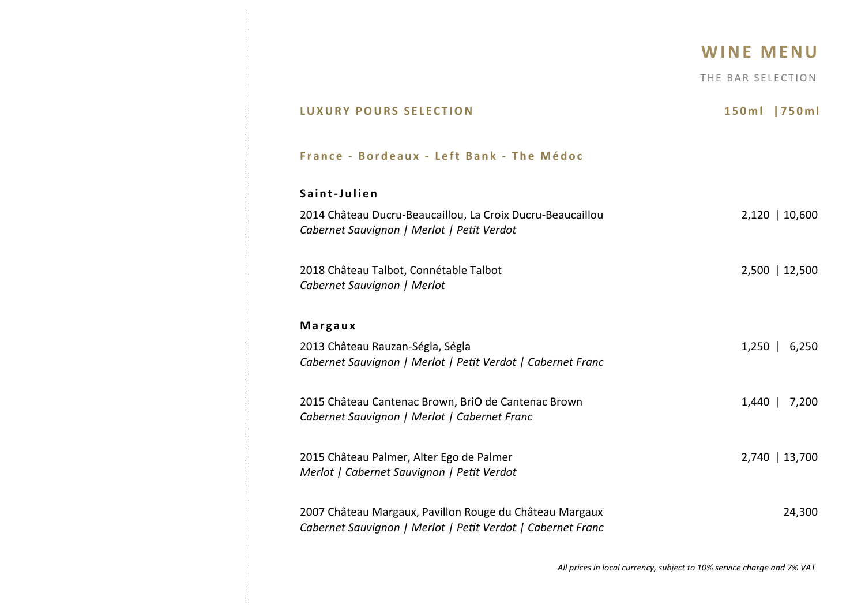THE BAR SELECTION

| <b>LUXURY POURS SELECTION</b>                                                                                          | 150ml<br>  750 m l                                                     |
|------------------------------------------------------------------------------------------------------------------------|------------------------------------------------------------------------|
| France - Bordeaux - Left Bank - The Médoc                                                                              |                                                                        |
| Saint-Julien                                                                                                           |                                                                        |
| 2014 Château Ducru-Beaucaillou, La Croix Ducru-Beaucaillou<br>Cabernet Sauvignon   Merlot   Petit Verdot               | 2,120   10,600                                                         |
| 2018 Château Talbot, Connétable Talbot<br>Cabernet Sauvignon   Merlot                                                  | 2,500   12,500                                                         |
| Margaux                                                                                                                |                                                                        |
| 2013 Château Rauzan-Ségla, Ségla<br>Cabernet Sauvignon   Merlot   Petit Verdot   Cabernet Franc                        | $1,250$   6,250                                                        |
| 2015 Château Cantenac Brown, BriO de Cantenac Brown<br>Cabernet Sauvignon   Merlot   Cabernet Franc                    | $1,440$  <br>7,200                                                     |
| 2015 Château Palmer, Alter Ego de Palmer<br>Merlot   Cabernet Sauvignon   Petit Verdot                                 | 2,740   13,700                                                         |
| 2007 Château Margaux, Pavillon Rouge du Château Margaux<br>Cabernet Sauvignon   Merlot   Petit Verdot   Cabernet Franc | 24,300                                                                 |
|                                                                                                                        | All prices in local currency, subject to 10% service charge and 7% VAT |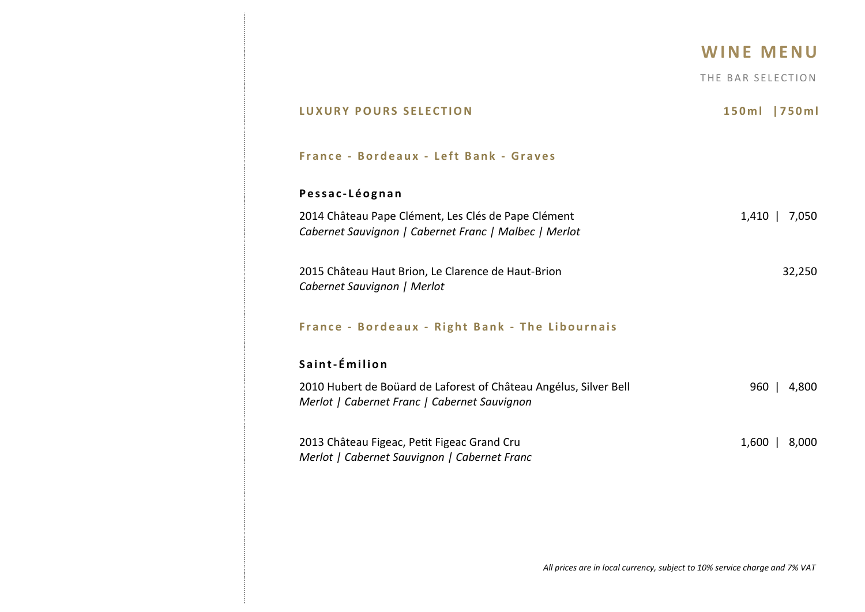THE BAR SELECTION

| <b>LUXURY POURS SELECTION</b>                                                                                     | 150ml<br>l 750 m l |
|-------------------------------------------------------------------------------------------------------------------|--------------------|
| France - Bordeaux - Left Bank - Graves                                                                            |                    |
| Pessac-Léognan                                                                                                    |                    |
| 2014 Château Pape Clément, Les Clés de Pape Clément<br>Cabernet Sauvignon   Cabernet Franc   Malbec   Merlot      | 1,410   7,050      |
| 2015 Château Haut Brion, Le Clarence de Haut-Brion<br>Cabernet Sauvignon   Merlot                                 | 32,250             |
| France - Bordeaux - Right Bank - The Libournais                                                                   |                    |
| Saint-Émilion                                                                                                     |                    |
| 2010 Hubert de Boüard de Laforest of Château Angélus, Silver Bell<br>Merlot   Cabernet Franc   Cabernet Sauvignon | 960   4,800        |
| 2013 Château Figeac, Petit Figeac Grand Cru<br>Merlot   Cabernet Sauvignon   Cabernet Franc                       | 1,600   8,000      |
|                                                                                                                   |                    |
|                                                                                                                   |                    |

Ť

÷

*All prices are in local currency, subject to 10% service charge and 7% VAT*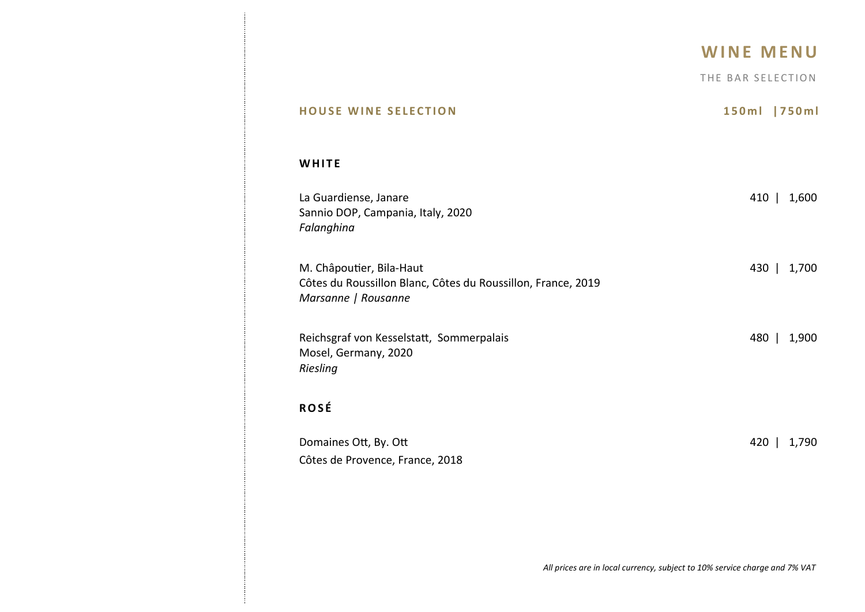THE BAR SELECTION

| <b>HOUSE WINE SELECTION</b>                                                                                     | 150ml   750ml  |
|-----------------------------------------------------------------------------------------------------------------|----------------|
| WHITE                                                                                                           |                |
| La Guardiense, Janare<br>Sannio DOP, Campania, Italy, 2020<br>Falanghina                                        | 410   1,600    |
| M. Châpoutier, Bila-Haut<br>Côtes du Roussillon Blanc, Côtes du Roussillon, France, 2019<br>Marsanne   Rousanne | 430   1,700    |
| Reichsgraf von Kesselstatt, Sommerpalais<br>Mosel, Germany, 2020<br>Riesling                                    | 480  <br>1,900 |
| <b>ROSÉ</b>                                                                                                     |                |
| Domaines Ott, By. Ott<br>Côtes de Provence, France, 2018                                                        | 420   1,790    |
|                                                                                                                 |                |
| All prices are in local currency, subject to 10% service charge and 7% VAT                                      |                |

ŧ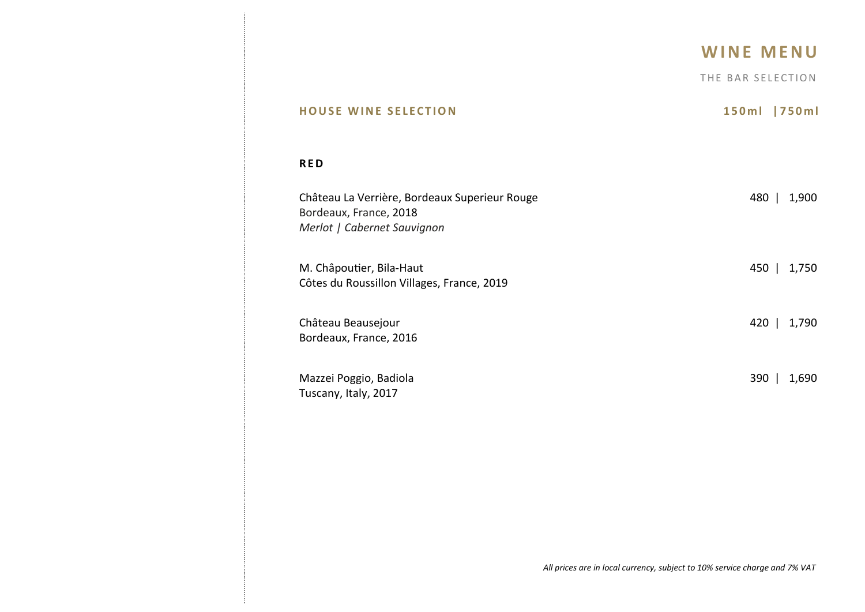THE BAR SELECTION

| <b>HOUSE WINE SELECTION</b>                                                                            | 150ml<br> 750m |
|--------------------------------------------------------------------------------------------------------|----------------|
| <b>RED</b>                                                                                             |                |
| Château La Verrière, Bordeaux Superieur Rouge<br>Bordeaux, France, 2018<br>Merlot   Cabernet Sauvignon | 480  <br>1,900 |
| M. Châpoutier, Bila-Haut                                                                               | 450            |
| Côtes du Roussillon Villages, France, 2019                                                             | 1,750          |
| Château Beausejour                                                                                     | $420$          |
| Bordeaux, France, 2016                                                                                 | 1,790          |
| Mazzei Poggio, Badiola                                                                                 | $390$          |
| Tuscany, Italy, 2017                                                                                   | 1,690          |

 $\mathbf{j}$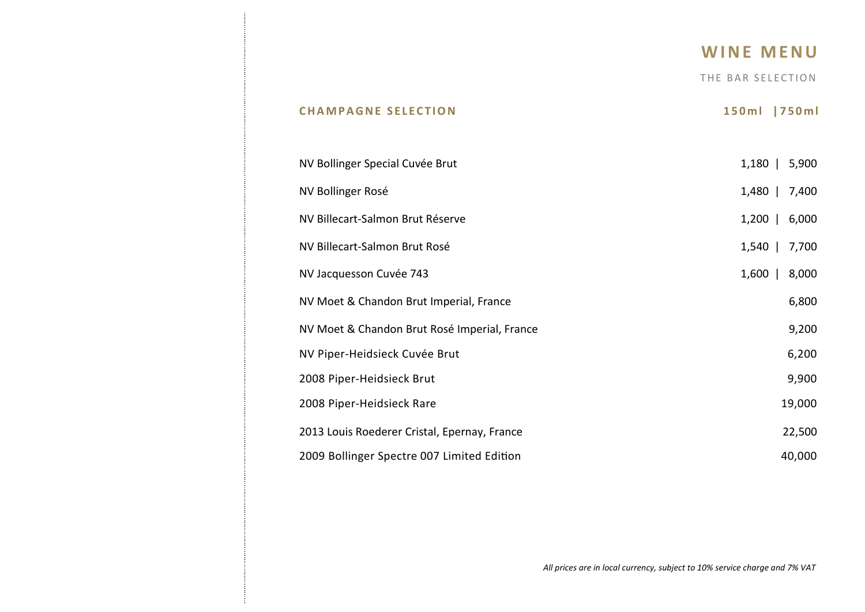### **W I N E M E N U**

THE BAR SELECTION

# NV Bollinger Special Cuvée Brut 1,180 | 5,900 NV Bollinger Rosé 2,480 | 7,400 NV Billecart-Salmon Brut Réserve 1,200 | 6,000 NV Billecart-Salmon Brut Rosé 1,540 | 7,700 NV Jacquesson Cuvée 743 1,600 | 8,000 NV Moet & Chandon Brut Imperial, France 6,800 NV Moet & Chandon Brut Rosé Imperial, France 9,200 NV Piper-Heidsieck Cuvée Brut 6,200 2008 Piper-Heidsieck Brut 9,900 2008 Piper-Heidsieck Rare 19,000 2013 Louis Roederer Cristal, Epernay, France 22,500 2009 Bollinger Spectre 007 Limited Edition 40,000 40,000

**C H A M P A G N E S E L E C T I O N 1 5 0 m l | 7 5 0 m l**

*All prices are in local currency, subject to 10% service charge and 7% VAT*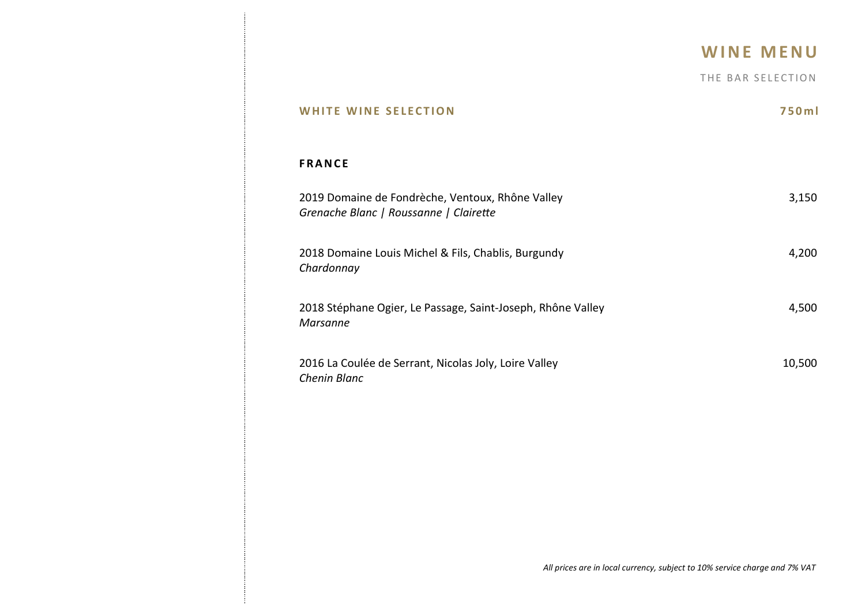THE BAR SELECTION

| <b>WHITE WINE SELECTION</b>                                                                | 750m   |
|--------------------------------------------------------------------------------------------|--------|
| <b>FRANCE</b>                                                                              |        |
| 2019 Domaine de Fondrèche, Ventoux, Rhône Valley<br>Grenache Blanc   Roussanne   Clairette | 3,150  |
| 2018 Domaine Louis Michel & Fils, Chablis, Burgundy<br>Chardonnay                          | 4,200  |
| 2018 Stéphane Ogier, Le Passage, Saint-Joseph, Rhône Valley<br><b>Marsanne</b>             | 4,500  |
| 2016 La Coulée de Serrant, Nicolas Joly, Loire Valley<br>Chenin Blanc                      | 10,500 |

 $\mathbf{j}$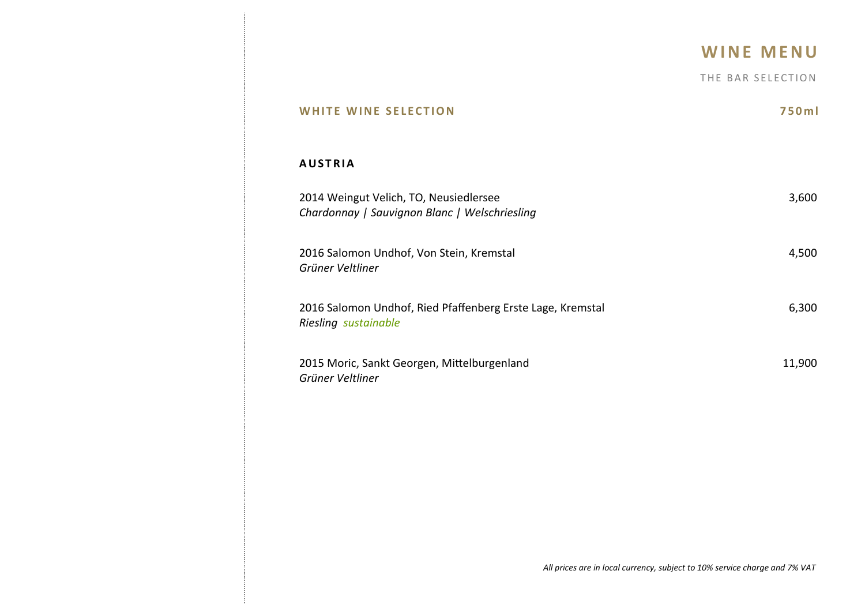THE BAR SELECTION

| <b>WHITE WINE SELECTION</b>                                                             | 750ml  |
|-----------------------------------------------------------------------------------------|--------|
| <b>AUSTRIA</b>                                                                          |        |
| 2014 Weingut Velich, TO, Neusiedlersee<br>Chardonnay   Sauvignon Blanc   Welschriesling | 3,600  |
| 2016 Salomon Undhof, Von Stein, Kremstal<br>Grüner Veltliner                            | 4,500  |
| 2016 Salomon Undhof, Ried Pfaffenberg Erste Lage, Kremstal<br>Riesling sustainable      | 6,300  |
| 2015 Moric, Sankt Georgen, Mittelburgenland<br>Grüner Veltliner                         | 11,900 |
|                                                                                         |        |
|                                                                                         |        |
|                                                                                         |        |

 $\mathbf{j}$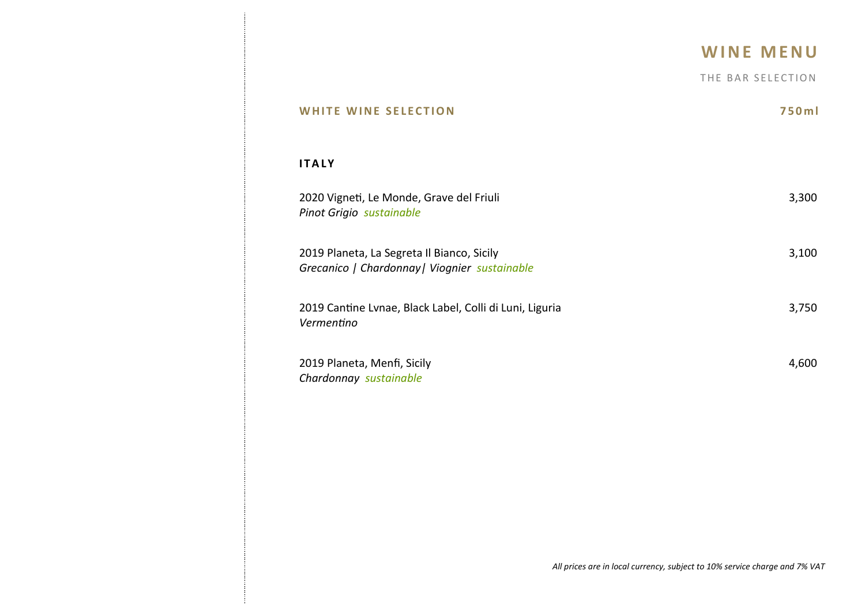THE BAR SELECTION

| HITE WINE SELECTION                                                                         | 750ml |
|---------------------------------------------------------------------------------------------|-------|
| <b>ITALY</b>                                                                                |       |
| 2020 Vigneti, Le Monde, Grave del Friuli<br>Pinot Grigio sustainable                        | 3,300 |
| 2019 Planeta, La Segreta Il Bianco, Sicily<br>Grecanico   Chardonnay   Viognier sustainable | 3,100 |
| 2019 Cantine Lvnae, Black Label, Colli di Luni, Liguria<br>Vermentino                       | 3,750 |
| 2019 Planeta, Menfi, Sicily<br>Chardonnay sustainable                                       | 4,600 |
|                                                                                             |       |
|                                                                                             |       |

ł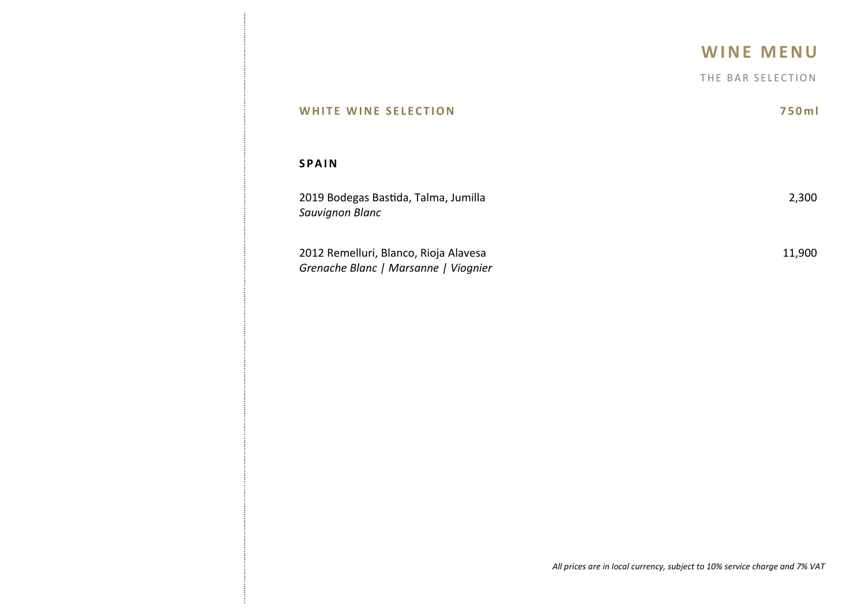|                                                                               | <b>WINE MENU</b>  |
|-------------------------------------------------------------------------------|-------------------|
|                                                                               | THE BAR SELECTION |
| <b>WHITE WINE SELECTION</b>                                                   | 750ml             |
| <b>SPAIN</b>                                                                  |                   |
| 2019 Bodegas Bastida, Talma, Jumilla<br>Sauvignon Blanc                       | 2,300             |
| 2012 Remelluri, Blanco, Rioja Alavesa<br>Grenache Blanc   Marsanne   Viognier | 11,900            |

Ĵ.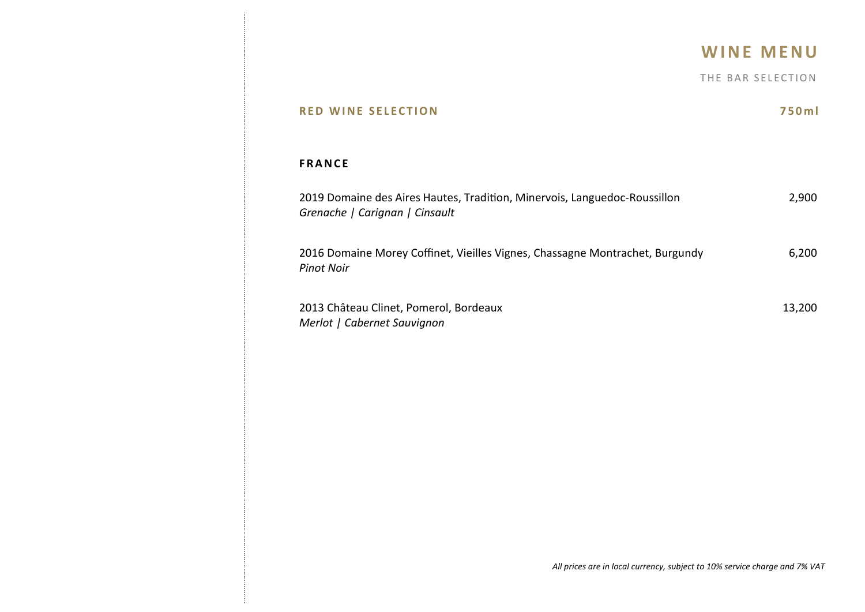THE BAR SELECTION

| <b>RED WINE SELECTION</b>                                                                                   | 750ml  |
|-------------------------------------------------------------------------------------------------------------|--------|
| <b>FRANCE</b>                                                                                               |        |
| 2019 Domaine des Aires Hautes, Tradition, Minervois, Languedoc-Roussillon<br>Grenache   Carignan   Cinsault | 2,900  |
| 2016 Domaine Morey Coffinet, Vieilles Vignes, Chassagne Montrachet, Burgundy<br><b>Pinot Noir</b>           | 6,200  |
| 2013 Château Clinet, Pomerol, Bordeaux<br>Merlot   Cabernet Sauvignon                                       | 13,200 |

ł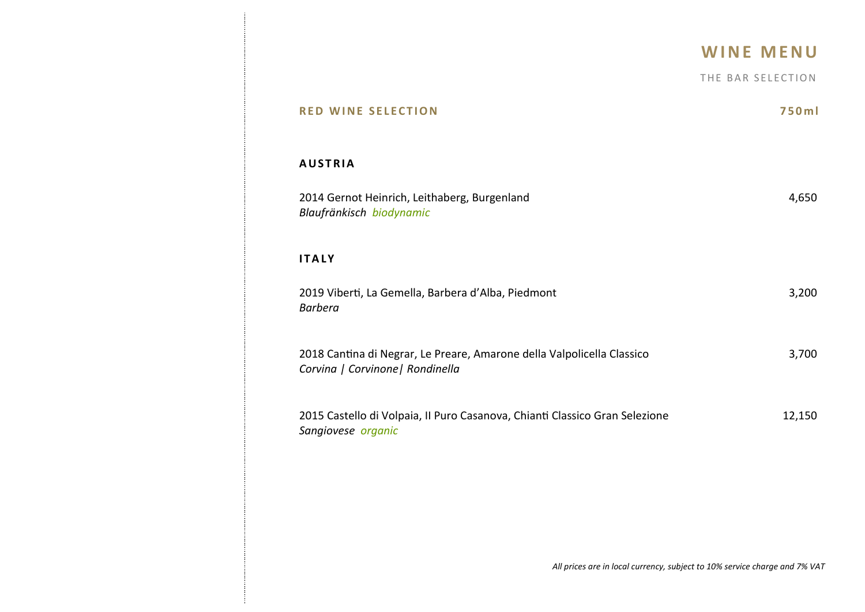THE BAR SELECTION

| <b>RED WINE SELECTION</b>                                                                                  | 750ml  |
|------------------------------------------------------------------------------------------------------------|--------|
| <b>AUSTRIA</b>                                                                                             |        |
| 2014 Gernot Heinrich, Leithaberg, Burgenland<br>Blaufränkisch biodynamic                                   | 4,650  |
| <b>ITALY</b>                                                                                               |        |
| 2019 Viberti, La Gemella, Barbera d'Alba, Piedmont<br><b>Barbera</b>                                       | 3,200  |
| 2018 Cantina di Negrar, Le Preare, Amarone della Valpolicella Classico<br>Corvina   Corvinone   Rondinella | 3,700  |
| 2015 Castello di Volpaia, II Puro Casanova, Chianti Classico Gran Selezione<br>Sangiovese organic          | 12,150 |
|                                                                                                            |        |
|                                                                                                            |        |

ł